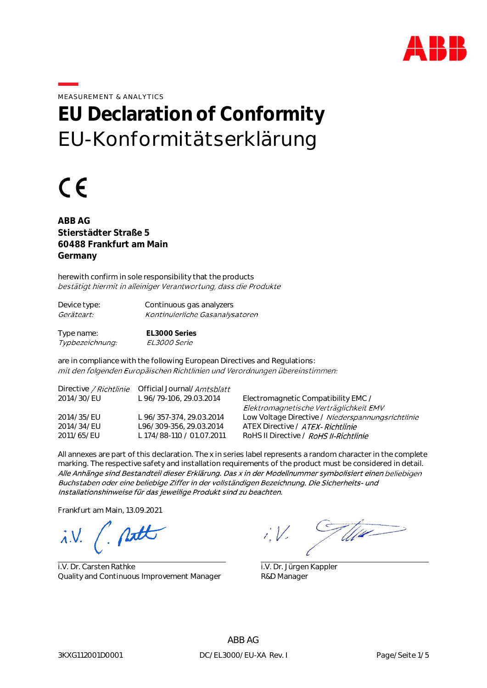

MEASUREMENT & ANALYTICS

# **EU Declaration of Conformity** EU-Konformitätserklärung

# $\epsilon$

**ABB AG Stierstädter Straße 5 60488 Frankfurt am Main Germany**

herewith confirm in sole responsibility that the products bestätigt hiermit in alleiniger Verantwortung, dass die Produkte

| Device type:      | Continuous gas analyzers        |
|-------------------|---------------------------------|
| <i>Geräteart:</i> | Kontinuierliche Gasanalysatoren |
|                   |                                 |

Type name: **EL3000 Series** Typbezeichnung: EL3000 Serie

are in compliance with the following European Directives and Regulations: mit den folgenden Europäischen Richtlinien und Verordnungen übereinstimmen:

|            | Directive / Richtlinie Official Journal/Amtsblatt |                                                   |
|------------|---------------------------------------------------|---------------------------------------------------|
| 2014/30/EU | L 96/79-106, 29.03.2014                           | Electromagnetic Compatibility EMC /               |
|            |                                                   | Elektromagnetische Verträglichkeit EMV            |
| 2014/35/EU | L 96/357-374, 29.03.2014                          | Low Voltage Directive / Niederspannungsrichtlinie |
| 2014/34/EU | L96/309-356, 29.03.2014                           | ATEX Directive / ATEX- Richtlinie                 |
| 2011/65/EU | L 174/88-110 / 01.07.2011                         | RoHS II Directive / RoHS II-Richtlinie            |
|            |                                                   |                                                   |

All annexes are part of this declaration. The x in series label represents a random character in the complete marking. The respective safety and installation requirements of the product must be considered in detail. Alle Anhänge sind Bestandteil dieser Erklärung. Das x in der Modellnummer symbolisiert einen beliebigen Buchstaben oder eine beliebige Ziffer in der vollständigen Bezeichnung. Die Sicherheits- und Installationshinweise für das jeweilige Produkt sind zu beachten.

Frankfurt am Main, 13.09.2021

 $\lambda$ .V.

i.V. Dr. Carsten Rathke Quality and Continuous Improvement Manager

Wie

i.V. Dr. Jürgen Kappler R&D Manager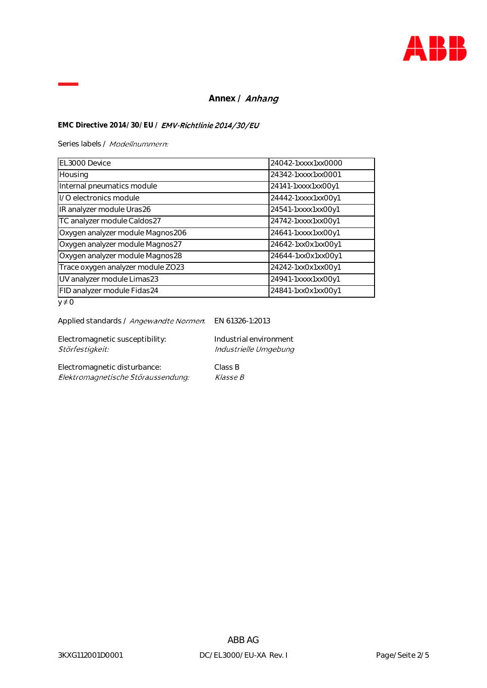

## Annex / **Anhang**

### EMC Directive 2014/30/EU / **EMV-Richtlinie 2014/30/EU**

Series labels / Modellnummern:

| EL3000 Device                     | 24042-1xxxx1xx0000 |
|-----------------------------------|--------------------|
| Housing                           | 24342-1xxxx1xx0001 |
| Internal pneumatics module        | 24141-1xxxx1xx00y1 |
| I/O electronics module            | 24442-1xxxx1xx00y1 |
| IR analyzer module Uras26         | 24541-1xxxx1xx00y1 |
| TC analyzer module Caldos27       | 24742-1xxxx1xx00y1 |
| Oxygen analyzer module Magnos206  | 24641-1xxxx1xx00y1 |
| Oxygen analyzer module Magnos27   | 24642-1xx0x1xx00y1 |
| Oxygen analyzer module Magnos28   | 24644-1xx0x1xx00y1 |
| Trace oxygen analyzer module ZO23 | 24242-1xx0x1xx00y1 |
| UV analyzer module Limas23        | 24941-1xxxx1xx00y1 |
| FID analyzer module Fidas24       | 24841-1xx0x1xx00y1 |
| $\cdot$ 4 $\cap$                  |                    |

 $y \neq 0$ 

| Applied standards / <i>Angewandte Normen</i> . | EN 61326-1:2013        |
|------------------------------------------------|------------------------|
| Electromagnetic susceptibility:                | Industrial environment |
| Störfestigkeit:                                | Industrielle Umgebung  |

Electromagnetic disturbance: Class B<br>
Elektromagnetische Störaussendung: Klasse B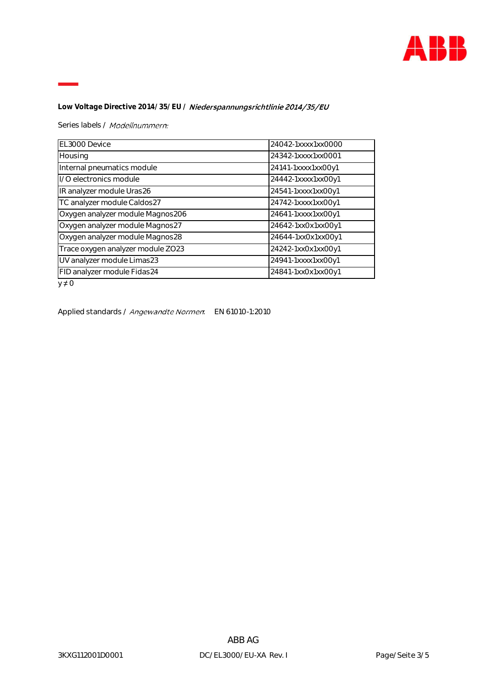

Low Voltage Directive 2014/35/EU / **Niederspannungsrichtlinie 2014/35/EU** 

Series labels / Modellnummern:

| EL3000 Device                     | 24042-1xxxx1xx0000 |
|-----------------------------------|--------------------|
| Housing                           | 24342-1xxxx1xx0001 |
| Internal pneumatics module        | 24141-1xxxx1xx00y1 |
| I/O electronics module            | 24442-1xxxx1xx00y1 |
| IR analyzer module Uras26         | 24541-1xxxx1xx00y1 |
| TC analyzer module Caldos27       | 24742-1xxxx1xx00y1 |
| Oxygen analyzer module Magnos206  | 24641-1xxxx1xx00y1 |
| Oxygen analyzer module Magnos27   | 24642-1xx0x1xx00y1 |
| Oxygen analyzer module Magnos28   | 24644-1xx0x1xx00y1 |
| Trace oxygen analyzer module ZO23 | 24242-1xx0x1xx00y1 |
| UV analyzer module Limas23        | 24941-1xxxx1xx00y1 |
| FID analyzer module Fidas24       | 24841-1xx0x1xx00y1 |

 $y \neq 0$ 

Applied standards / Angewandte Normen. EN 61010-1:2010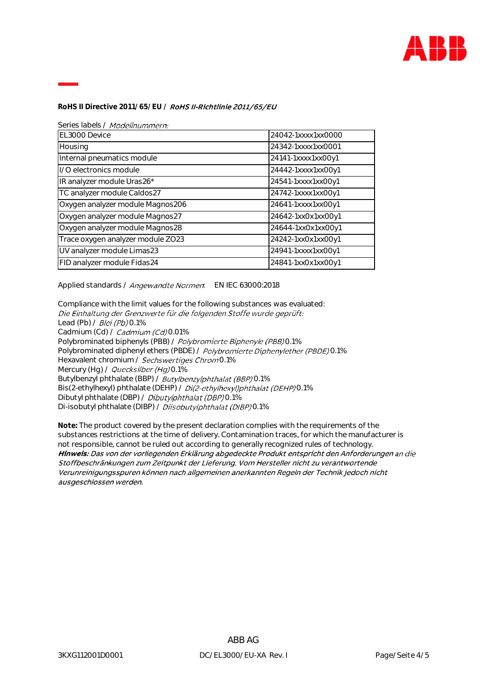

**RoHS II Directive 2011/65/EU /**

Series labels / Modellnummern:

| EL3000 Device                     | 24042-1xxxx1xx0000 |
|-----------------------------------|--------------------|
| Housing                           | 24342-1xxxx1xx0001 |
| Internal pneumatics module        | 24141-1xxxx1xx00y1 |
| I/O electronics module            | 24442-1xxxx1xx00y1 |
| IR analyzer module Uras26*        | 24541-1xxxx1xx00y1 |
| TC analyzer module Caldos27       | 24742-1xxxx1xx00y1 |
| Oxygen analyzer module Magnos206  | 24641-1xxxx1xx00y1 |
| Oxygen analyzer module Magnos27   | 24642-1xx0x1xx00y1 |
| Oxygen analyzer module Magnos28   | 24644-1xx0x1xx00y1 |
| Trace oxygen analyzer module ZO23 | 24242-1xx0x1xx00y1 |
| UV analyzer module Limas23        | 24941-1xxxx1xx00y1 |
| FID analyzer module Fidas24       | 24841-1xx0x1xx00y1 |

Applied standards / Angewandte Normen. EN IEC 63000:2018

Compliance with the limit values for the following substances was evaluated:<br>Die Einhaltung der Grenzwerte für die folgenden Stoffe wurde geprüft: Lead (Pb) / Blei (Pb) 0.1% Cadmium (Cd) / Cadmium (Cd) 0.01% Polybrominated biphenyls (PBB) / Polybromierte Biphenyle (PBB) 0.1% Polybrominated diphenyl ethers (PBDE) / Polybromierte Diphenylether (PBDE) 0.1% Hexavalent chromium / Sechswertiges Chrom0.1% Mercury (Hg) / Quecksilber (Hg) 0.1% Butylbenzyl phthalate (BBP) / Butylbenzylphthalat (BBP) 0.1% Bis(2-ethylhexyl) phthalate (DEHP) / Di(2-ethylhexyl)phthalat (DEHP)0.1% Dibutyl phthalate (DBP) / Dibutylphthalat (DBP) 0.1% Di-isobutyl phthalate (DIBP) / Diisobutylphthalat (DIBP) 0.1%

**Note:** The product covered by the present declaration complies with the requirements of the substances restrictions at the time of delivery. Contamination traces, for which the manufacturer is not responsible, cannot be ruled out according to generally recognized rules of technology.Hinweis: Das von der vorliegenden Erklärung abgedeckte Produkt entspricht den Anforderungen an die Stoffbeschränkungen zum Zeitpunkt der Lieferung. Vom Hersteller nicht zu verantwortende Verunreinigungsspuren können nach allgemeinen anerkannten Regeln der Technik jedoch nicht ausgeschlossen werden.